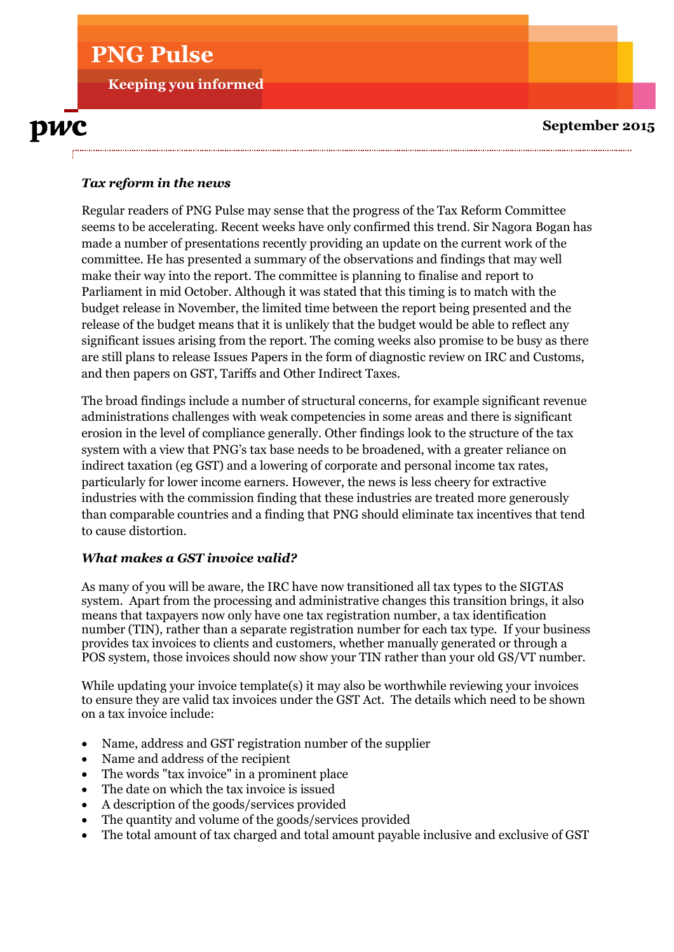# **PNG Pulse**

 **Keeping you informed**

# DWC

**September 2015**

#### *Tax reform in the news*

Regular readers of PNG Pulse may sense that the progress of the Tax Reform Committee seems to be accelerating. Recent weeks have only confirmed this trend. Sir Nagora Bogan has made a number of presentations recently providing an update on the current work of the committee. He has presented a summary of the observations and findings that may well make their way into the report. The committee is planning to finalise and report to Parliament in mid October. Although it was stated that this timing is to match with the budget release in November, the limited time between the report being presented and the release of the budget means that it is unlikely that the budget would be able to reflect any significant issues arising from the report. The coming weeks also promise to be busy as there are still plans to release Issues Papers in the form of diagnostic review on IRC and Customs, and then papers on GST, Tariffs and Other Indirect Taxes.

The broad findings include a number of structural concerns, for example significant revenue administrations challenges with weak competencies in some areas and there is significant erosion in the level of compliance generally. Other findings look to the structure of the tax system with a view that PNG's tax base needs to be broadened, with a greater reliance on indirect taxation (eg GST) and a lowering of corporate and personal income tax rates, particularly for lower income earners. However, the news is less cheery for extractive industries with the commission finding that these industries are treated more generously than comparable countries and a finding that PNG should eliminate tax incentives that tend to cause distortion.

#### *What makes a GST invoice valid?*

As many of you will be aware, the IRC have now transitioned all tax types to the SIGTAS system. Apart from the processing and administrative changes this transition brings, it also means that taxpayers now only have one tax registration number, a tax identification number (TIN), rather than a separate registration number for each tax type. If your business provides tax invoices to clients and customers, whether manually generated or through a POS system, those invoices should now show your TIN rather than your old GS/VT number.

While updating your invoice template(s) it may also be worthwhile reviewing your invoices to ensure they are valid tax invoices under the GST Act. The details which need to be shown on a tax invoice include:

- Name, address and GST registration number of the supplier
- Name and address of the recipient
- The words "tax invoice" in a prominent place
- The date on which the tax invoice is issued
- A description of the goods/services provided
- The quantity and volume of the goods/services provided
- The total amount of tax charged and total amount payable inclusive and exclusive of GST